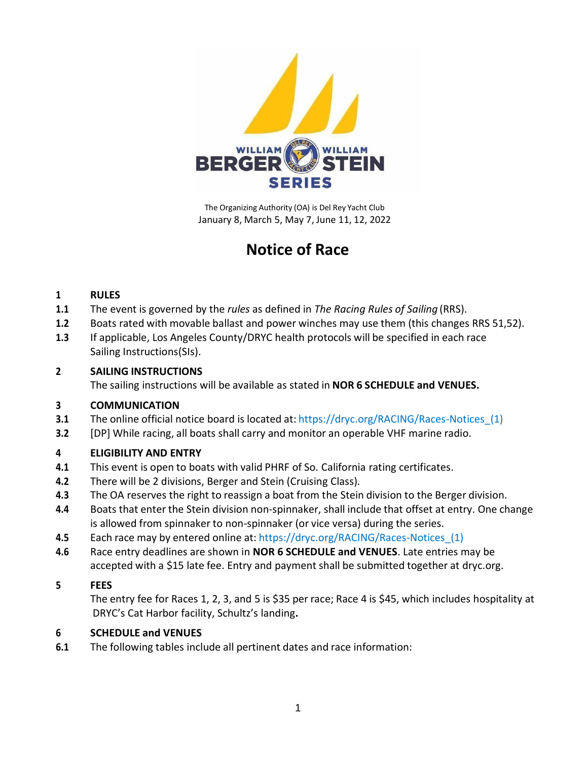

 The Organizing Authority (OA) is Del Rey Yacht Club January 8, March 5, May 7, June 11, 12, 2022

# **Notice of Race**

### **1 RULES**

- **1.1** The event is governed by the *rules* as defined in *The Racing Rules of Sailing* (RRS).
- **1.2** Boats rated with movable ballast and power winches may use them (this changes RRS 51,52).
- **1.3** If applicable, Los Angeles County/DRYC health protocols will be specified in each race Sailing Instructions(SIs).

### **2 SAILING INSTRUCTIONS**

The sailing instructions will be available as stated in **NOR 6 SCHEDULE and VENUES.**

### **3 COMMUNICATION**

- **3.1** The online official notice board is located at: https://dryc.org/RACING/Races-Notices (1)
- **3.2** [DP] While racing, all boats shall carry and monitor an operable VHF marine radio.

# **4 ELIGIBILITY AND ENTRY**

- **4.1** This event is open to boats with valid PHRF of So. California rating certificates.
- **4.2** There will be 2 divisions, Berger and Stein (Cruising Class).
- **4.3** The OA reserves the right to reassign a boat from the Stein division to the Berger division.
- **4.4** Boats that enter the Stein division non-spinnaker, shall include that offset at entry. One change is allowed from spinnaker to non-spinnaker (or vice versa) during the series.
- **4.5** Each race may by entered online at: https://dryc.org/RACING/Races-Notices\_(1)
- **4.6** Race entry deadlines are shown in **NOR 6 SCHEDULE and VENUES**. Late entries may be accepted with a \$15 late fee. Entry and payment shall be submitted together at dryc.org.

### **5 FEES**

The entry fee for Races 1, 2, 3, and 5 is \$35 per race; Race 4 is \$45, which includes hospitality at DRYC's Cat Harbor facility, Schultz's landing**.**

# **6 SCHEDULE and VENUES**

**6.1** The following tables include all pertinent dates and race information: